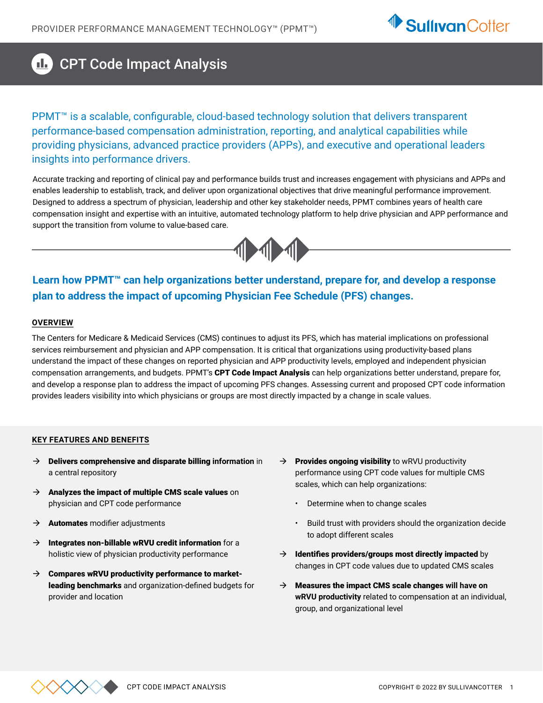

#### $\mathbf{d}_\mathbf{r}$ CPT Code Impact Analysis

PPMT<sup>™</sup> is a scalable, configurable, cloud-based technology solution that delivers transparent performance-based compensation administration, reporting, and analytical capabilities while providing physicians, advanced practice providers (APPs), and executive and operational leaders insights into performance drivers.

Accurate tracking and reporting of clinical pay and performance builds trust and increases engagement with physicians and APPs and enables leadership to establish, track, and deliver upon organizational objectives that drive meaningful performance improvement. Designed to address a spectrum of physician, leadership and other key stakeholder needs, PPMT combines years of health care compensation insight and expertise with an intuitive, automated technology platform to help drive physician and APP performance and support the transition from volume to value-based care.



**Learn how PPMT™ can help organizations better understand, prepare for, and develop a response plan to address the impact of upcoming Physician Fee Schedule (PFS) changes.** 

#### **OVERVIEW**

The Centers for Medicare & Medicaid Services (CMS) continues to adjust its PFS, which has material implications on professional services reimbursement and physician and APP compensation. It is critical that organizations using productivity-based plans understand the impact of these changes on reported physician and APP productivity levels, employed and independent physician compensation arrangements, and budgets. PPMT's CPT Code Impact Analysis can help organizations better understand, prepare for, and develop a response plan to address the impact of upcoming PFS changes. Assessing current and proposed CPT code information provides leaders visibility into which physicians or groups are most directly impacted by a change in scale values.

#### **KEY FEATURES AND BENEFITS**

- $\rightarrow$  **Delivers comprehensive and disparate billing information** in a central repository
- $\rightarrow$  Analyzes the impact of multiple CMS scale values on physician and CPT code performance
- $\rightarrow$  **Automates** modifier adjustments
- $\rightarrow$  Integrates non-billable wRVU credit information for a holistic view of physician productivity performance
- $\rightarrow$  Compares wRVU productivity performance to marketleading benchmarks and organization-defined budgets for provider and location
- $\rightarrow$  Provides ongoing visibility to wRVU productivity performance using CPT code values for multiple CMS scales, which can help organizations:
	- Determine when to change scales
	- Build trust with providers should the organization decide to adopt different scales
- $\rightarrow$  Identifies providers/groups most directly impacted by changes in CPT code values due to updated CMS scales
- → Measures the impact CMS scale changes will have on **wRVU productivity** related to compensation at an individual, group, and organizational level